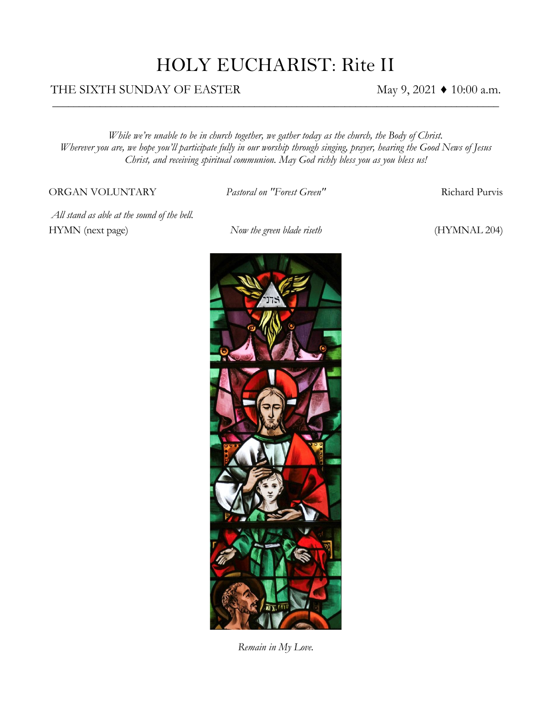## HOLY EUCHARIST: Rite II

*\_\_\_\_\_\_\_\_\_\_\_\_\_\_\_\_\_\_\_\_\_\_\_\_\_\_\_\_\_\_\_\_\_\_\_\_\_\_\_\_\_\_\_\_\_\_\_\_\_\_\_\_\_\_\_\_\_\_\_\_\_\_\_\_\_\_\_\_\_\_\_\_\_\_\_\_\_\_\_\_\_\_\_\_*

#### THE SIXTH SUNDAY OF EASTER  $\text{May } 9, 2021 \blacklozenge 10:00 \text{ a.m.}$

*While we're unable to be in church together, we gather today as the church, the Body of Christ. Wherever you are, we hope you'll participate fully in our worship through singing, prayer, hearing the Good News of Jesus Christ, and receiving spiritual communion. May God richly bless you as you bless us!*

#### ORGAN VOLUNTARY *Pastoral on "Forest Green"* Richard Purvis

*All stand as able at the sound of the bell.* HYMN (next page) *Now the green blade riseth* (HYMNAL 204)



*Remain in My Love.*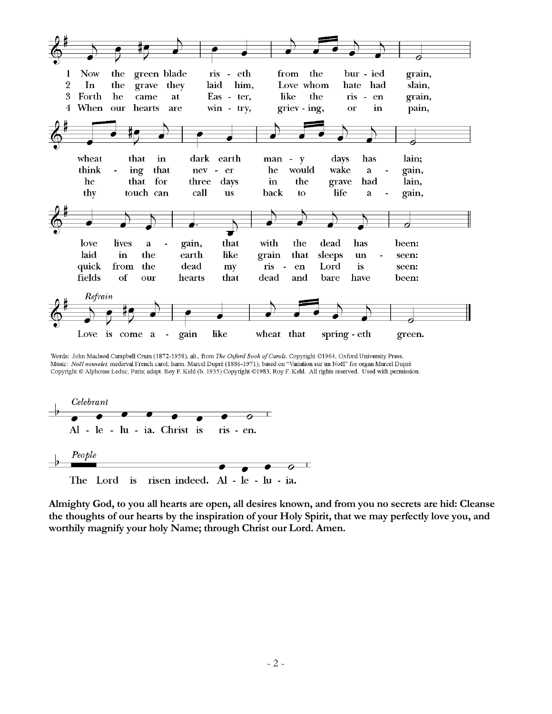

Words: John Macleod Campbell Crum (1872-1958), alt., from The Oxford Book of Carols, Copyright @1964, Oxford University Press. Music: Noël nouvelet, medieval French carol; harm. Marcel Dupré (1886-1971); based on "Variation sur un Noël" for organ Marcel Dupré Copyright @ Alphonse Leduc, Paris; adapt. Roy F. Kehl (b. 1935) Copyright @1983, Roy F. Kehl. All rights reserved. Used with permission.



**Almighty God, to you all hearts are open, all desires known, and from you no secrets are hid: Cleanse the thoughts of our hearts by the inspiration of your Holy Spirit, that we may perfectly love you, and worthily magnify your holy Name; through Christ our Lord. Amen.**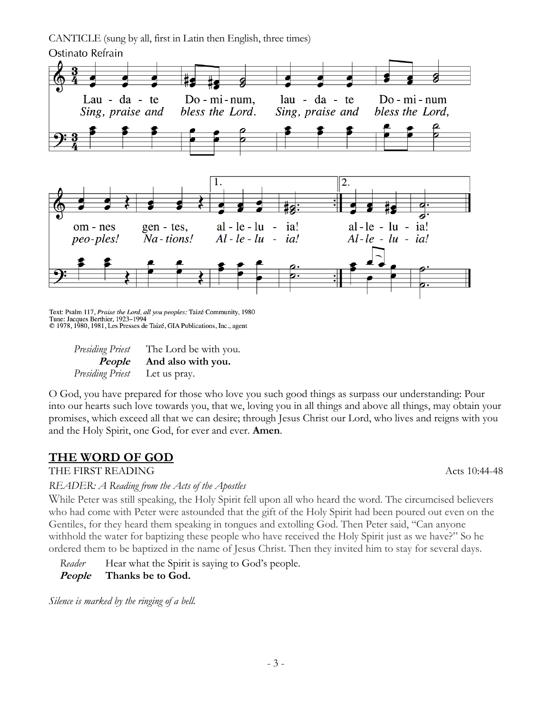CANTICLE (sung by all, first in Latin then English, three times) Ostinato Refrain



Text: Psalm 117, Praise the Lord, all you peoples; Taizé Community, 1980 Tune: Jacques Berthier, 1923-1994 © 1978, 1980, 1981, Les Presses de Taizé, GIA Publications, Inc., agent

| <b>Presiding Priest</b>              | The Lord be with you.            |
|--------------------------------------|----------------------------------|
|                                      | <i>People</i> And also with you. |
| <i>Presiding Priest</i> Let us pray. |                                  |

O God, you have prepared for those who love you such good things as surpass our understanding: Pour into our hearts such love towards you, that we, loving you in all things and above all things, may obtain your promises, which exceed all that we can desire; through Jesus Christ our Lord, who lives and reigns with you and the Holy Spirit, one God, for ever and ever. **Amen**.

#### **THE WORD OF GOD**

THE FIRST READING Acts 10:44-48

*READER: A Reading from the Acts of the Apostles*

While Peter was still speaking, the Holy Spirit fell upon all who heard the word. The circumcised believers who had come with Peter were astounded that the gift of the Holy Spirit had been poured out even on the Gentiles, for they heard them speaking in tongues and extolling God. Then Peter said, "Can anyone withhold the water for baptizing these people who have received the Holy Spirit just as we have?" So he ordered them to be baptized in the name of Jesus Christ. Then they invited him to stay for several days.

*Reader* Hear what the Spirit is saying to God's people.  **People Thanks be to God.**

*Silence is marked by the ringing of a bell.*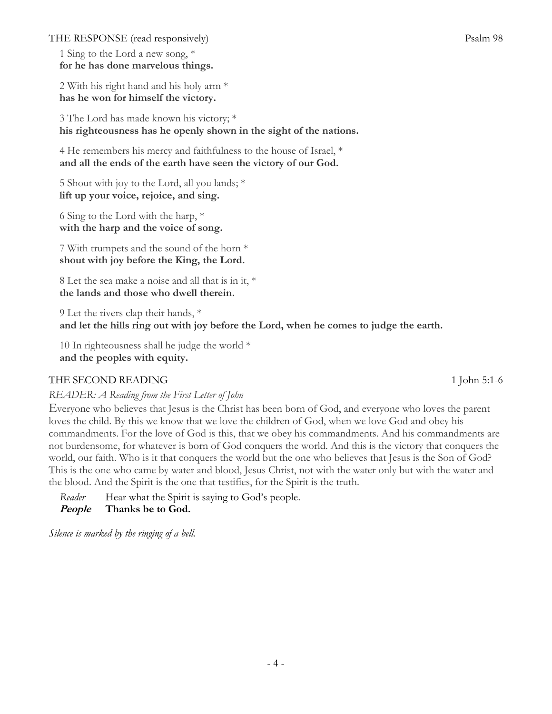THE RESPONSE (read responsively) Psalm 98

1 Sing to the Lord a new song, \* **for he has done marvelous things.**

2 With his right hand and his holy arm \* **has he won for himself the victory.**

3 The Lord has made known his victory; \* **his righteousness has he openly shown in the sight of the nations.**

4 He remembers his mercy and faithfulness to the house of Israel, \* **and all the ends of the earth have seen the victory of our God.**

5 Shout with joy to the Lord, all you lands; \* **lift up your voice, rejoice, and sing.**

6 Sing to the Lord with the harp, \* **with the harp and the voice of song.**

7 With trumpets and the sound of the horn \* **shout with joy before the King, the Lord.**

8 Let the sea make a noise and all that is in it, \* **the lands and those who dwell therein.**

9 Let the rivers clap their hands, \* **and let the hills ring out with joy before the Lord, when he comes to judge the earth.**

10 In righteousness shall he judge the world \* **and the peoples with equity.**

#### THE SECOND READING 1 John 5:1-6

*READER: A Reading from the First Letter of John*

Everyone who believes that Jesus is the Christ has been born of God, and everyone who loves the parent loves the child. By this we know that we love the children of God, when we love God and obey his commandments. For the love of God is this, that we obey his commandments. And his commandments are not burdensome, for whatever is born of God conquers the world. And this is the victory that conquers the world, our faith. Who is it that conquers the world but the one who believes that Jesus is the Son of God? This is the one who came by water and blood, Jesus Christ, not with the water only but with the water and the blood. And the Spirit is the one that testifies, for the Spirit is the truth.

*Reader* Hear what the Spirit is saying to God's people.  **People Thanks be to God.**

*Silence is marked by the ringing of a bell.*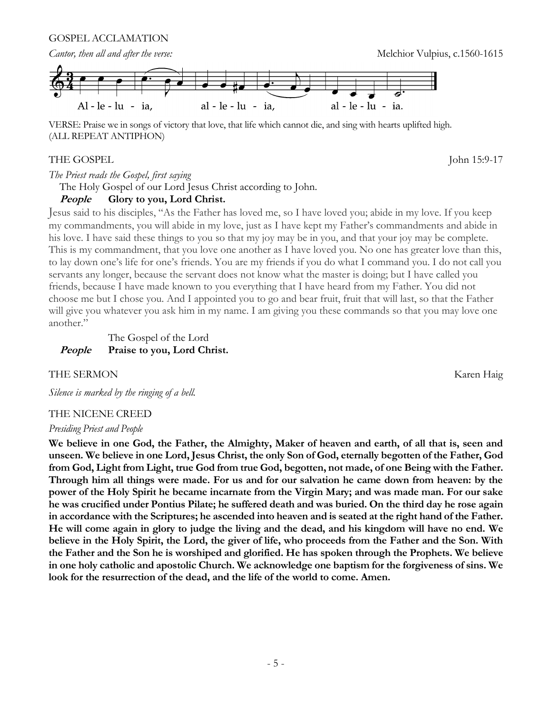GOSPEL ACCLAMATION



VERSE: Praise we in songs of victory that love, that life which cannot die, and sing with hearts uplifted high. (ALL REPEAT ANTIPHON)

#### THE GOSPEL John 15:9-17

*The Priest reads the Gospel, first saying*

The Holy Gospel of our Lord Jesus Christ according to John.

#### **People Glory to you, Lord Christ.**

Jesus said to his disciples, "As the Father has loved me, so I have loved you; abide in my love. If you keep my commandments, you will abide in my love, just as I have kept my Father's commandments and abide in his love. I have said these things to you so that my joy may be in you, and that your joy may be complete. This is my commandment, that you love one another as I have loved you. No one has greater love than this, to lay down one's life for one's friends. You are my friends if you do what I command you. I do not call you servants any longer, because the servant does not know what the master is doing; but I have called you friends, because I have made known to you everything that I have heard from my Father. You did not choose me but I chose you. And I appointed you to go and bear fruit, fruit that will last, so that the Father will give you whatever you ask him in my name. I am giving you these commands so that you may love one another."

#### The Gospel of the Lord **People Praise to you, Lord Christ.**

#### THE SERMON Karen Haig

*Silence is marked by the ringing of a bell.*

#### THE NICENE CREED

#### *Presiding Priest and People*

**We believe in one God, the Father, the Almighty, Maker of heaven and earth, of all that is, seen and unseen. We believe in one Lord, Jesus Christ, the only Son of God, eternally begotten of the Father, God from God, Light from Light, true God from true God, begotten, not made, of one Being with the Father. Through him all things were made. For us and for our salvation he came down from heaven: by the power of the Holy Spirit he became incarnate from the Virgin Mary; and was made man. For our sake he was crucified under Pontius Pilate; he suffered death and was buried. On the third day he rose again in accordance with the Scriptures; he ascended into heaven and is seated at the right hand of the Father. He will come again in glory to judge the living and the dead, and his kingdom will have no end. We believe in the Holy Spirit, the Lord, the giver of life, who proceeds from the Father and the Son. With the Father and the Son he is worshiped and glorified. He has spoken through the Prophets. We believe in one holy catholic and apostolic Church. We acknowledge one baptism for the forgiveness of sins. We look for the resurrection of the dead, and the life of the world to come. Amen.**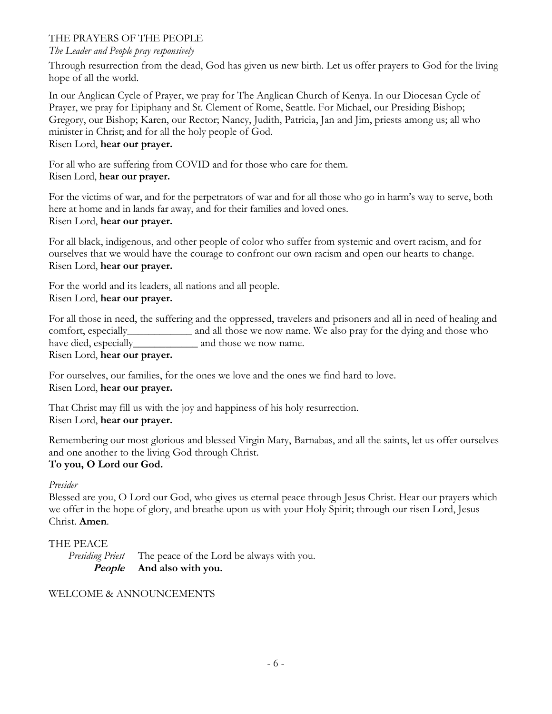#### THE PRAYERS OF THE PEOPLE

#### *The Leader and People pray responsively*

Through resurrection from the dead, God has given us new birth. Let us offer prayers to God for the living hope of all the world.

In our Anglican Cycle of Prayer, we pray for The Anglican Church of Kenya. In our Diocesan Cycle of Prayer, we pray for Epiphany and St. Clement of Rome, Seattle. For Michael, our Presiding Bishop; Gregory, our Bishop; Karen, our Rector; Nancy, Judith, Patricia, Jan and Jim, priests among us; all who minister in Christ; and for all the holy people of God. Risen Lord, **hear our prayer.** 

For all who are suffering from COVID and for those who care for them.

#### Risen Lord, **hear our prayer.**

For the victims of war, and for the perpetrators of war and for all those who go in harm's way to serve, both here at home and in lands far away, and for their families and loved ones. Risen Lord, **hear our prayer.**

For all black, indigenous, and other people of color who suffer from systemic and overt racism, and for ourselves that we would have the courage to confront our own racism and open our hearts to change. Risen Lord, **hear our prayer.**

For the world and its leaders, all nations and all people. Risen Lord, **hear our prayer.**

For all those in need, the suffering and the oppressed, travelers and prisoners and all in need of healing and comfort, especially\_\_\_\_\_\_\_\_\_\_\_\_ and all those we now name. We also pray for the dying and those who have died, especially and those we now name. Risen Lord, **hear our prayer.**

For ourselves, our families, for the ones we love and the ones we find hard to love. Risen Lord, **hear our prayer.**

That Christ may fill us with the joy and happiness of his holy resurrection. Risen Lord, **hear our prayer.**

Remembering our most glorious and blessed Virgin Mary, Barnabas, and all the saints, let us offer ourselves and one another to the living God through Christ. **To you, O Lord our God.** 

#### *Presider*

Blessed are you, O Lord our God, who gives us eternal peace through Jesus Christ. Hear our prayers which we offer in the hope of glory, and breathe upon us with your Holy Spirit; through our risen Lord, Jesus Christ. **Amen**.

#### THE PEACE

*Presiding Priest* The peace of the Lord be always with you. **People And also with you.**

#### WELCOME & ANNOUNCEMENTS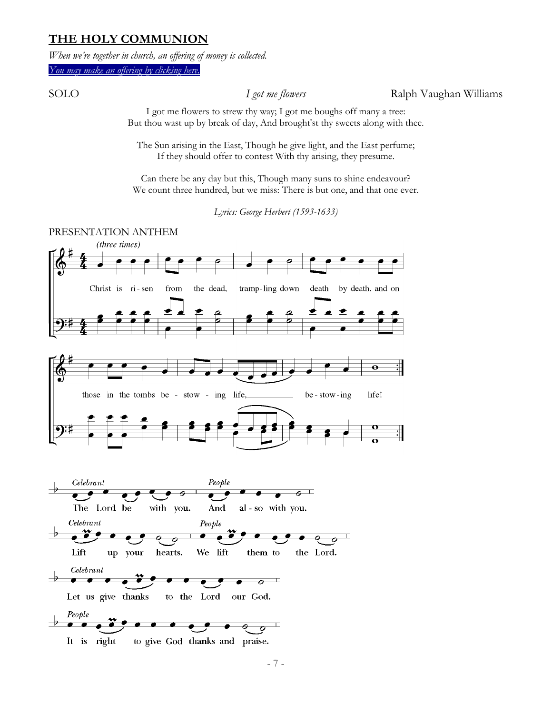#### **THE HOLY COMMUNION**

*When we're together in church, an offering of money is collected.*

*[You may make an offering by clicking here.](https://resources.ecww.org/give-parish?cid2=378)*

SOLO *I got me flowers* Ralph Vaughan Williams

I got me flowers to strew thy way; I got me boughs off many a tree: But thou wast up by break of day, And brought'st thy sweets along with thee.

The Sun arising in the East, Though he give light, and the East perfume; If they should offer to contest With thy arising, they presume.

Can there be any day but this, Though many suns to shine endeavour? We count three hundred, but we miss: There is but one, and that one ever.

*Lyrics: George Herbert (1593-1633)*

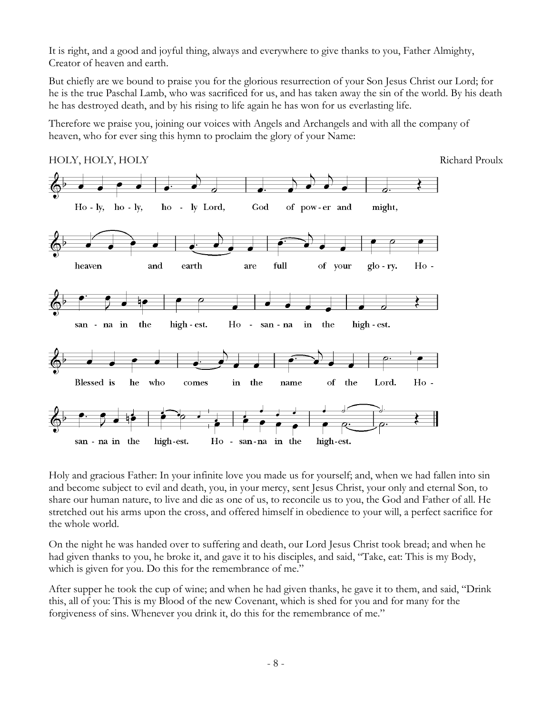It is right, and a good and joyful thing, always and everywhere to give thanks to you, Father Almighty, Creator of heaven and earth.

But chiefly are we bound to praise you for the glorious resurrection of your Son Jesus Christ our Lord; for he is the true Paschal Lamb, who was sacrificed for us, and has taken away the sin of the world. By his death he has destroyed death, and by his rising to life again he has won for us everlasting life.

Therefore we praise you, joining our voices with Angels and Archangels and with all the company of heaven, who for ever sing this hymn to proclaim the glory of your Name:



Holy and gracious Father: In your infinite love you made us for yourself; and, when we had fallen into sin and become subject to evil and death, you, in your mercy, sent Jesus Christ, your only and eternal Son, to share our human nature, to live and die as one of us, to reconcile us to you, the God and Father of all. He stretched out his arms upon the cross, and offered himself in obedience to your will, a perfect sacrifice for the whole world.

On the night he was handed over to suffering and death, our Lord Jesus Christ took bread; and when he had given thanks to you, he broke it, and gave it to his disciples, and said, "Take, eat: This is my Body, which is given for you. Do this for the remembrance of me."

After supper he took the cup of wine; and when he had given thanks, he gave it to them, and said, "Drink this, all of you: This is my Blood of the new Covenant, which is shed for you and for many for the forgiveness of sins. Whenever you drink it, do this for the remembrance of me."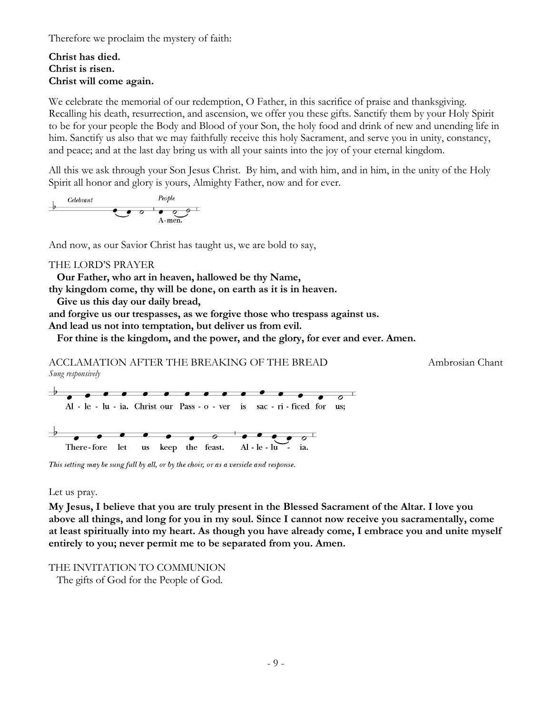Therefore we proclaim the mystery of faith:

#### **Christ has died. Christ is risen. Christ will come again.**

We celebrate the memorial of our redemption, O Father, in this sacrifice of praise and thanksgiving. Recalling his death, resurrection, and ascension, we offer you these gifts. Sanctify them by your Holy Spirit to be for your people the Body and Blood of your Son, the holy food and drink of new and unending life in him. Sanctify us also that we may faithfully receive this holy Sacrament, and serve you in unity, constancy, and peace; and at the last day bring us with all your saints into the joy of your eternal kingdom.

All this we ask through your Son Jesus Christ. By him, and with him, and in him, in the unity of the Holy Spirit all honor and glory is yours, Almighty Father, now and for ever.

And now, as our Savior Christ has taught us, we are bold to say,

#### THE LORD'S PRAYER

**Our Father, who art in heaven, hallowed be thy Name, thy kingdom come, thy will be done, on earth as it is in heaven.**

**Give us this day our daily bread,**

**and forgive us our trespasses, as we forgive those who trespass against us.**

**And lead us not into temptation, but deliver us from evil.**

**For thine is the kingdom, and the power, and the glory, for ever and ever. Amen.**

ACCLAMATION AFTER THE BREAKING OF THE BREAD Ambrosian Chant *Sung responsively*



This setting may be sung full by all, or by the choir, or as a versicle and response.

Let us pray.

**My Jesus, I believe that you are truly present in the Blessed Sacrament of the Altar. I love you above all things, and long for you in my soul. Since I cannot now receive you sacramentally, come at least spiritually into my heart. As though you have already come, I embrace you and unite myself entirely to you; never permit me to be separated from you. Amen.**

#### THE INVITATION TO COMMUNION

The gifts of God for the People of God.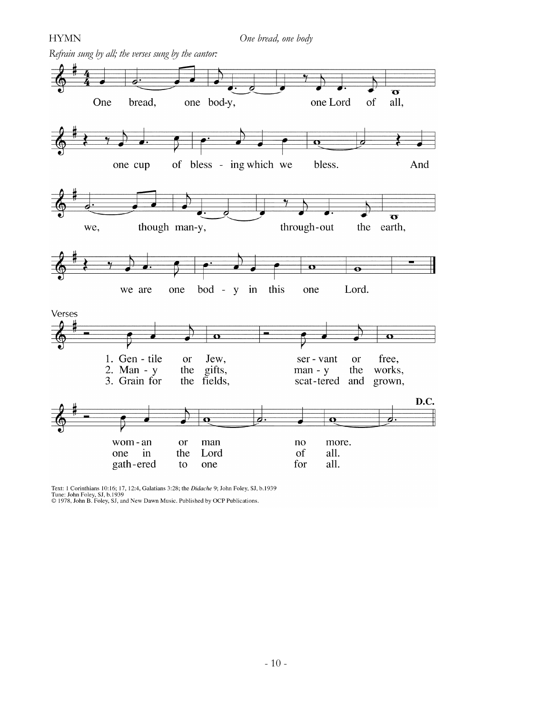

Text: 1 Corinthians 10:16; 17, 12:4, Galatians 3:28; the *Didache* 9; John Foley, SJ, b.1939<br>Tune: John Foley, SJ, b.1939<br>© 1978, John B. Foley, SJ, and New Dawn Music. Published by OCP Publications.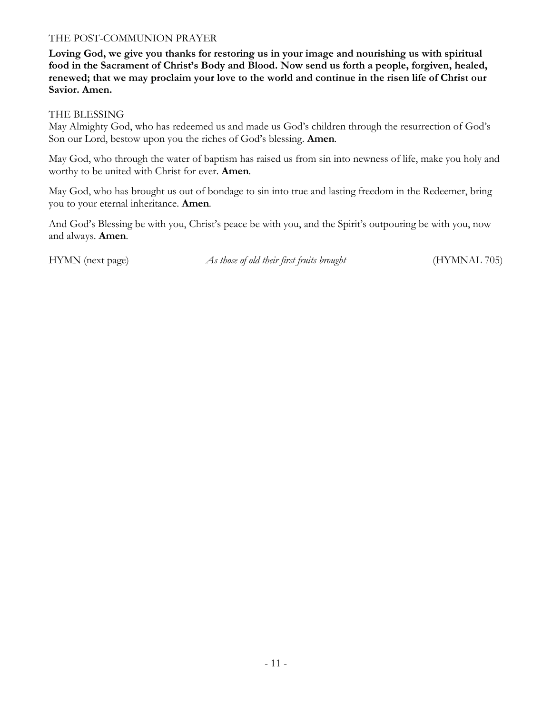#### THE POST-COMMUNION PRAYER

**Loving God, we give you thanks for restoring us in your image and nourishing us with spiritual food in the Sacrament of Christ's Body and Blood. Now send us forth a people, forgiven, healed, renewed; that we may proclaim your love to the world and continue in the risen life of Christ our Savior. Amen.**

#### THE BLESSING

May Almighty God, who has redeemed us and made us God's children through the resurrection of God's Son our Lord, bestow upon you the riches of God's blessing. **Amen***.*

May God, who through the water of baptism has raised us from sin into newness of life, make you holy and worthy to be united with Christ for ever. **Amen***.*

May God, who has brought us out of bondage to sin into true and lasting freedom in the Redeemer, bring you to your eternal inheritance. **Amen***.*

And God's Blessing be with you, Christ's peace be with you, and the Spirit's outpouring be with you, now and always. **Amen***.*

HYMN (next page) *As those of old their first fruits brought* (HYMNAL 705)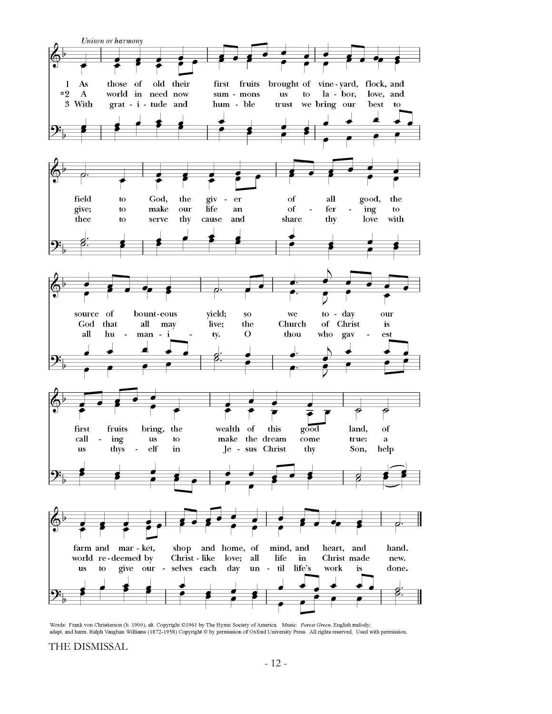

Words: Frank von Christierson (b. 1900), alt. Copyright @1961 by The Hymn Society of America. Music: Forest Green, English melody; adapt. and harm. Ralph Vaughan Williams (1872-1958) Copyright @ by permission of Oxford University Press. All rights reserved. Used with permission.

THE DISMISSAL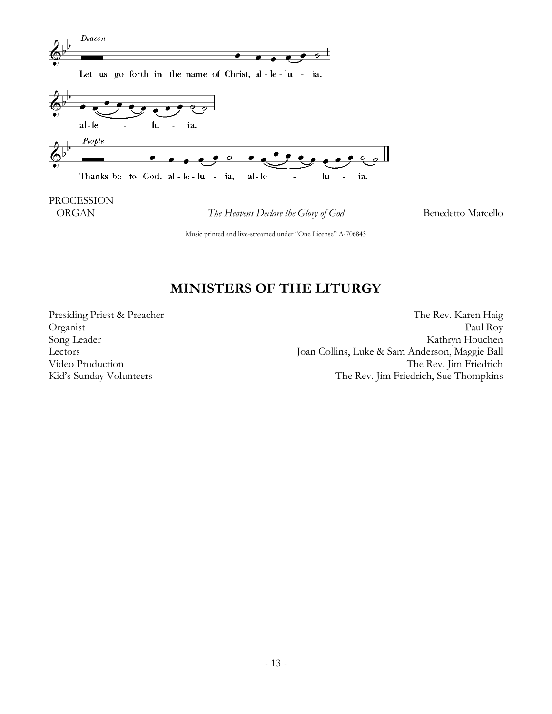

Music printed and live-streamed under "One License" A-706843

### **MINISTERS OF THE LITURGY**

Presiding Priest & Preacher The Rev. Karen Haig Organist Paul Roy Song Leader Kathryn Houchen Lectors Joan Collins, Luke & Sam Anderson, Maggie Ball Video Production The Rev. Jim Friedrich Kid's Sunday Volunteers The Rev. Jim Friedrich, Sue Thompkins